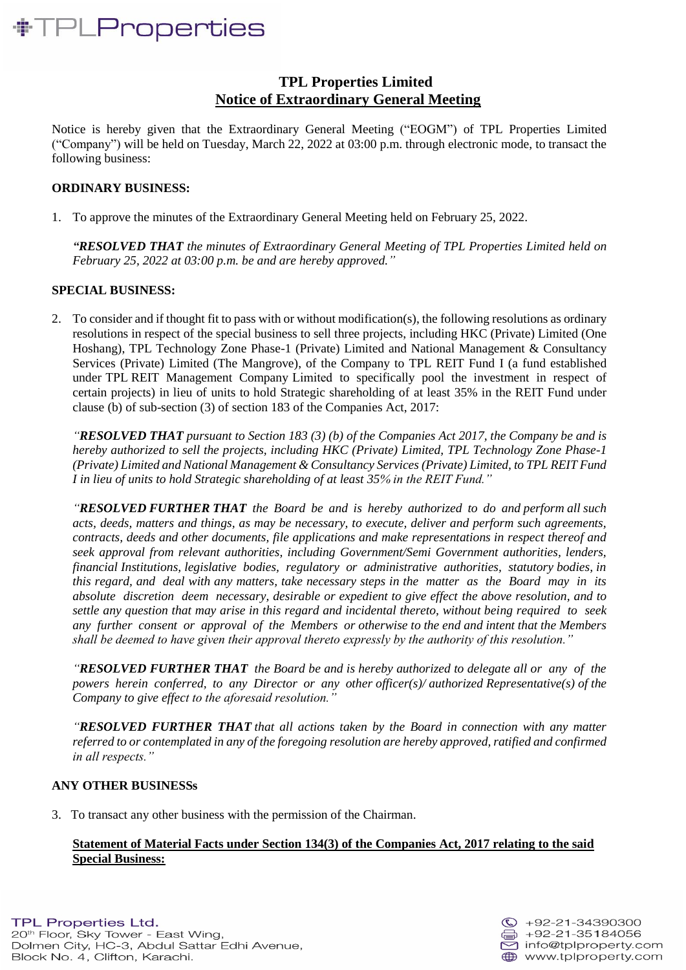## *NTPLProperties*

### **TPL Properties Limited Notice of Extraordinary General Meeting**

Notice is hereby given that the Extraordinary General Meeting ("EOGM") of TPL Properties Limited ("Company") will be held on Tuesday, March 22, 2022 at 03:00 p.m. through electronic mode, to transact the following business:

### **ORDINARY BUSINESS:**

1. To approve the minutes of the Extraordinary General Meeting held on February 25, 2022.

*"RESOLVED THAT the minutes of Extraordinary General Meeting of TPL Properties Limited held on February 25, 2022 at 03:00 p.m. be and are hereby approved."*

### **SPECIAL BUSINESS:**

2. To consider and if thought fit to pass with or without modification(s), the following resolutions as ordinary resolutions in respect of the special business to sell three projects, including HKC (Private) Limited (One Hoshang), TPL Technology Zone Phase-1 (Private) Limited and National Management & Consultancy Services (Private) Limited (The Mangrove), of the Company to TPL REIT Fund I (a fund established under TPL REIT Management Company Limited to specifically pool the investment in respect of certain projects) in lieu of units to hold Strategic shareholding of at least 35% in the REIT Fund under clause (b) of sub-section (3) of section 183 of the Companies Act, 2017:

*"RESOLVED THAT pursuant to Section 183 (3) (b) of the Companies Act 2017, the Company be and is hereby authorized to sell the projects, including HKC (Private) Limited, TPL Technology Zone Phase-1 (Private) Limited and National Management & Consultancy Services (Private) Limited, to TPL REIT Fund I in lieu of units to hold Strategic shareholding of at least 35% in the REIT Fund."*

*"RESOLVED FURTHER THAT the Board be and is hereby authorized to do and perform all such acts, deeds, matters and things, as may be necessary, to execute, deliver and perform such agreements, contracts, deeds and other documents, file applications and make representations in respect thereof and seek approval from relevant authorities, including Government/Semi Government authorities, lenders, financial Institutions, legislative bodies, regulatory or administrative authorities, statutory bodies, in this regard, and deal with any matters, take necessary steps in the matter as the Board may in its absolute discretion deem necessary, desirable or expedient to give effect the above resolution, and to settle any question that may arise in this regard and incidental thereto, without being required to seek any further consent or approval of the Members or otherwise to the end and intent that the Members shall be deemed to have given their approval thereto expressly by the authority of this resolution."*

*"RESOLVED FURTHER THAT the Board be and is hereby authorized to delegate all or any of the powers herein conferred, to any Director or any other officer(s)/ authorized Representative(s) of the Company to give effect to the aforesaid resolution."*

*"RESOLVED FURTHER THAT that all actions taken by the Board in connection with any matter referred to or contemplated in any of the foregoing resolution are hereby approved, ratified and confirmed in all respects."*

### **ANY OTHER BUSINESSs**

3. To transact any other business with the permission of the Chairman.

### **Statement of Material Facts under Section 134(3) of the Companies Act, 2017 relating to the said Special Business:**

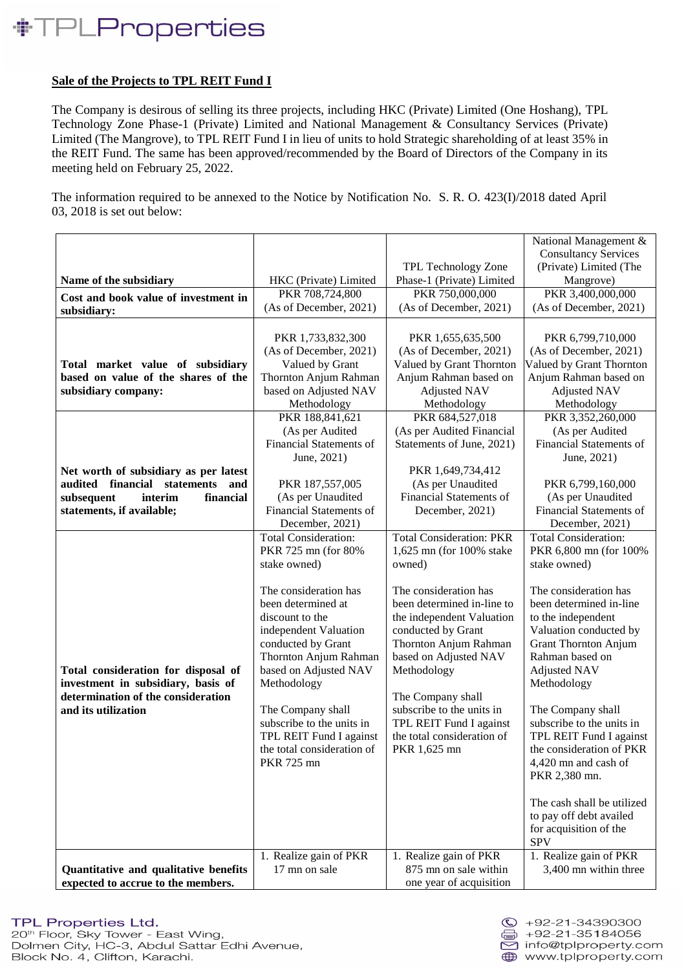## *NTPLProperties*

### **Sale of the Projects to TPL REIT Fund I**

The Company is desirous of selling its three projects, including HKC (Private) Limited (One Hoshang), TPL Technology Zone Phase-1 (Private) Limited and National Management & Consultancy Services (Private) Limited (The Mangrove), to TPL REIT Fund I in lieu of units to hold Strategic shareholding of at least 35% in the REIT Fund. The same has been approved/recommended by the Board of Directors of the Company in its meeting held on February 25, 2022.

The information required to be annexed to the Notice by Notification No. S. R. O. 423(I)/2018 dated April 03, 2018 is set out below:

|                                        |                                                     |                                    | National Management &                  |
|----------------------------------------|-----------------------------------------------------|------------------------------------|----------------------------------------|
|                                        |                                                     |                                    | <b>Consultancy Services</b>            |
|                                        |                                                     | TPL Technology Zone                | (Private) Limited (The                 |
| Name of the subsidiary                 | HKC (Private) Limited                               | Phase-1 (Private) Limited          | Mangrove)                              |
| Cost and book value of investment in   | PKR 708,724,800                                     | PKR 750,000,000                    | PKR 3,400,000,000                      |
| subsidiary:                            | (As of December, 2021)                              | (As of December, 2021)             | (As of December, 2021)                 |
|                                        |                                                     |                                    |                                        |
|                                        | PKR 1,733,832,300                                   | PKR 1,655,635,500                  | PKR 6,799,710,000                      |
|                                        | (As of December, 2021)                              | (As of December, 2021)             | (As of December, 2021)                 |
| Total market value of subsidiary       | Valued by Grant                                     | Valued by Grant Thornton           | Valued by Grant Thornton               |
| based on value of the shares of the    | Thornton Anjum Rahman                               | Anjum Rahman based on              | Anjum Rahman based on                  |
| subsidiary company:                    | based on Adjusted NAV                               | <b>Adjusted NAV</b>                | <b>Adjusted NAV</b>                    |
|                                        | Methodology                                         | Methodology                        | Methodology                            |
|                                        | PKR 188,841,621                                     | PKR 684,527,018                    | PKR 3,352,260,000                      |
|                                        | (As per Audited                                     | (As per Audited Financial          | (As per Audited                        |
|                                        | <b>Financial Statements of</b>                      | Statements of June, 2021)          | Financial Statements of                |
|                                        | June, 2021)                                         |                                    | June, 2021)                            |
| Net worth of subsidiary as per latest  |                                                     | PKR 1,649,734,412                  |                                        |
| audited financial<br>statements<br>and | PKR 187,557,005                                     | (As per Unaudited                  | PKR 6,799,160,000                      |
| subsequent<br>interim<br>financial     | (As per Unaudited                                   | <b>Financial Statements of</b>     | (As per Unaudited                      |
| statements, if available;              | <b>Financial Statements of</b>                      | December, 2021)                    | <b>Financial Statements of</b>         |
|                                        | December, 2021)                                     | <b>Total Consideration: PKR</b>    | December, 2021)                        |
|                                        | <b>Total Consideration:</b><br>PKR 725 mn (for 80%) |                                    | <b>Total Consideration:</b>            |
|                                        | stake owned)                                        | 1,625 mn (for 100% stake<br>owned) | PKR 6,800 mn (for 100%<br>stake owned) |
|                                        |                                                     |                                    |                                        |
|                                        | The consideration has                               | The consideration has              | The consideration has                  |
|                                        | been determined at                                  | been determined in-line to         | been determined in-line                |
|                                        | discount to the                                     | the independent Valuation          | to the independent                     |
|                                        | independent Valuation                               | conducted by Grant                 | Valuation conducted by                 |
|                                        | conducted by Grant                                  | Thornton Anjum Rahman              | <b>Grant Thornton Anjum</b>            |
|                                        | Thornton Anjum Rahman                               | based on Adjusted NAV              | Rahman based on                        |
| Total consideration for disposal of    | based on Adjusted NAV                               | Methodology                        | <b>Adjusted NAV</b>                    |
| investment in subsidiary, basis of     | Methodology                                         |                                    | Methodology                            |
| determination of the consideration     |                                                     | The Company shall                  |                                        |
| and its utilization                    | The Company shall                                   | subscribe to the units in          | The Company shall                      |
|                                        | subscribe to the units in                           | TPL REIT Fund I against            | subscribe to the units in              |
|                                        | TPL REIT Fund I against                             | the total consideration of         | TPL REIT Fund I against                |
|                                        | the total consideration of                          | PKR 1,625 mn                       | the consideration of PKR               |
|                                        | PKR 725 mn                                          |                                    | 4,420 mn and cash of                   |
|                                        |                                                     |                                    | PKR 2,380 mn.                          |
|                                        |                                                     |                                    |                                        |
|                                        |                                                     |                                    | The cash shall be utilized             |
|                                        |                                                     |                                    | to pay off debt availed                |
|                                        |                                                     |                                    | for acquisition of the<br><b>SPV</b>   |
|                                        |                                                     | 1. Realize gain of PKR             | 1. Realize gain of PKR                 |
| Quantitative and qualitative benefits  | 1. Realize gain of PKR<br>17 mn on sale             | 875 mn on sale within              | 3,400 mn within three                  |
| expected to accrue to the members.     |                                                     | one year of acquisition            |                                        |
|                                        |                                                     |                                    |                                        |

### **TPL Properties Ltd.**

20<sup>th</sup> Floor, Sky Tower - East Wing, Dolmen City, HC-3, Abdul Sattar Edhi Avenue, Block No. 4, Clifton, Karachi.

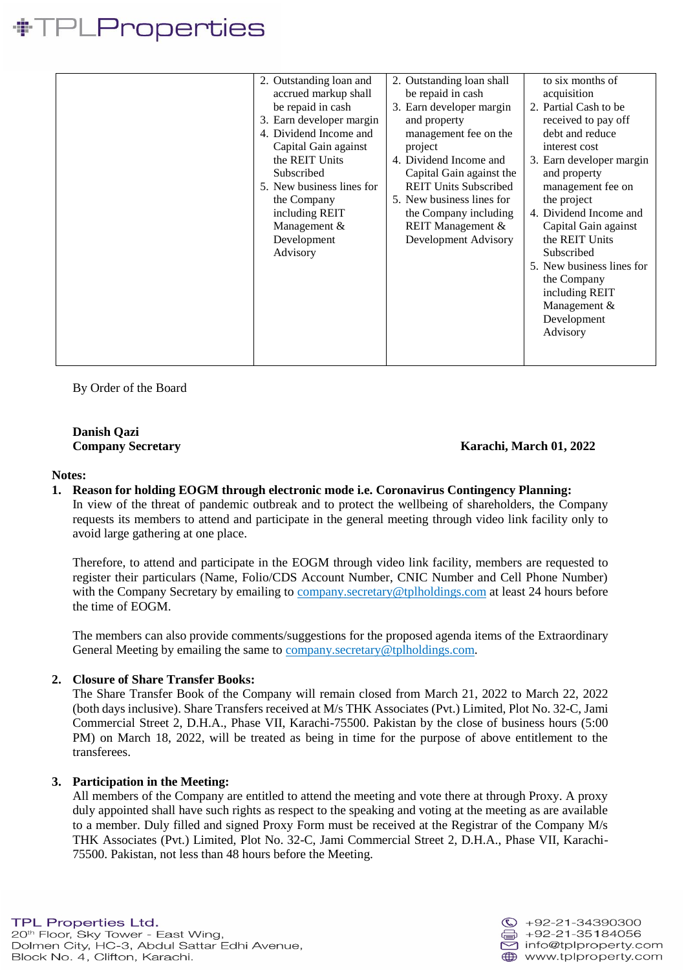### <sup>P</sup>LProperties

By Order of the Board

**Danish Qazi**

### **Company Secretary Karachi, March 01, 2022**

#### **Notes:**

### **1. Reason for holding EOGM through electronic mode i.e. Coronavirus Contingency Planning:**

In view of the threat of pandemic outbreak and to protect the wellbeing of shareholders, the Company requests its members to attend and participate in the general meeting through video link facility only to avoid large gathering at one place.

Therefore, to attend and participate in the EOGM through video link facility, members are requested to register their particulars (Name, Folio/CDS Account Number, CNIC Number and Cell Phone Number) with the Company Secretary by emailing to company. Secretary@tplholdings.com at least 24 hours before the time of EOGM.

The members can also provide comments/suggestions for the proposed agenda items of the Extraordinary General Meeting by emailing the same to [company.secretary@tplholdings.com.](mailto:company.secretary@tplholdings.com)

### **2. Closure of Share Transfer Books:**

The Share Transfer Book of the Company will remain closed from March 21, 2022 to March 22, 2022 (both days inclusive). Share Transfers received at M/s THK Associates (Pvt.) Limited, Plot No. 32-C, Jami Commercial Street 2, D.H.A., Phase VII, Karachi-75500. Pakistan by the close of business hours (5:00 PM) on March 18, 2022, will be treated as being in time for the purpose of above entitlement to the transferees.

### **3. Participation in the Meeting:**

All members of the Company are entitled to attend the meeting and vote there at through Proxy. A proxy duly appointed shall have such rights as respect to the speaking and voting at the meeting as are available to a member. Duly filled and signed Proxy Form must be received at the Registrar of the Company M/s THK Associates (Pvt.) Limited, Plot No. 32-C, Jami Commercial Street 2, D.H.A., Phase VII, Karachi-75500. Pakistan, not less than 48 hours before the Meeting.